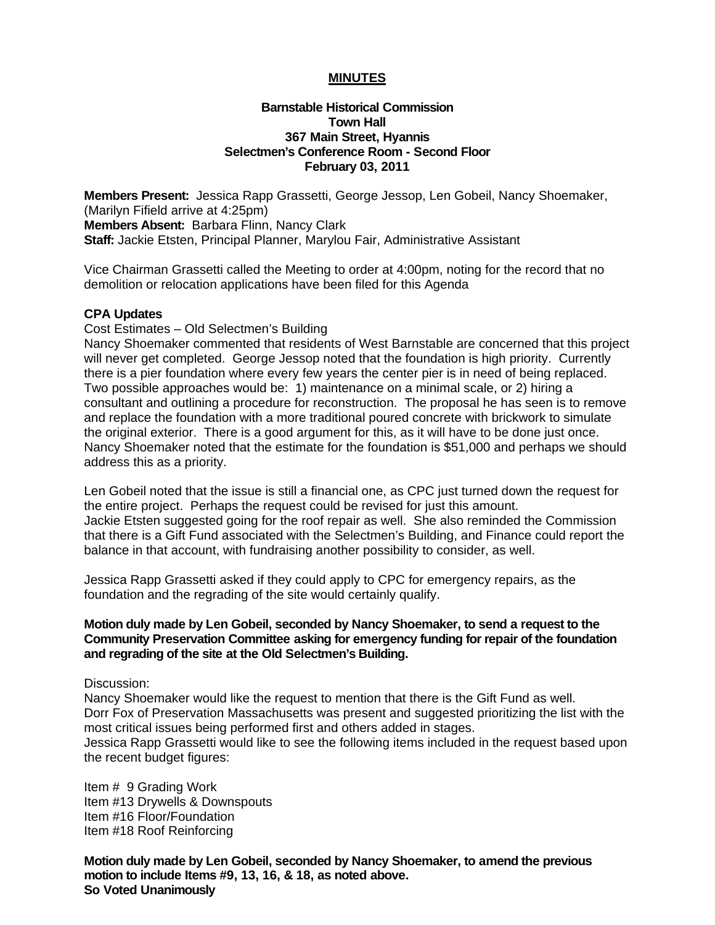## **MINUTES**

## **Barnstable Historical Commission Town Hall 367 Main Street, Hyannis Selectmen's Conference Room - Second Floor February 03, 2011**

**Members Present:** Jessica Rapp Grassetti, George Jessop, Len Gobeil, Nancy Shoemaker, (Marilyn Fifield arrive at 4:25pm) **Members Absent:** Barbara Flinn, Nancy Clark **Staff:** Jackie Etsten, Principal Planner, Marylou Fair, Administrative Assistant

Vice Chairman Grassetti called the Meeting to order at 4:00pm, noting for the record that no demolition or relocation applications have been filed for this Agenda

## **CPA Updates**

Cost Estimates – Old Selectmen's Building

Nancy Shoemaker commented that residents of West Barnstable are concerned that this project will never get completed. George Jessop noted that the foundation is high priority. Currently there is a pier foundation where every few years the center pier is in need of being replaced. Two possible approaches would be: 1) maintenance on a minimal scale, or 2) hiring a consultant and outlining a procedure for reconstruction. The proposal he has seen is to remove and replace the foundation with a more traditional poured concrete with brickwork to simulate the original exterior. There is a good argument for this, as it will have to be done just once. Nancy Shoemaker noted that the estimate for the foundation is \$51,000 and perhaps we should address this as a priority.

Len Gobeil noted that the issue is still a financial one, as CPC just turned down the request for the entire project. Perhaps the request could be revised for just this amount. Jackie Etsten suggested going for the roof repair as well. She also reminded the Commission that there is a Gift Fund associated with the Selectmen's Building, and Finance could report the balance in that account, with fundraising another possibility to consider, as well.

Jessica Rapp Grassetti asked if they could apply to CPC for emergency repairs, as the foundation and the regrading of the site would certainly qualify.

## **Motion duly made by Len Gobeil, seconded by Nancy Shoemaker, to send a request to the Community Preservation Committee asking for emergency funding for repair of the foundation and regrading of the site at the Old Selectmen's Building.**

Discussion:

Nancy Shoemaker would like the request to mention that there is the Gift Fund as well. Dorr Fox of Preservation Massachusetts was present and suggested prioritizing the list with the most critical issues being performed first and others added in stages. Jessica Rapp Grassetti would like to see the following items included in the request based upon the recent budget figures:

Item # 9 Grading Work Item #13 Drywells & Downspouts Item #16 Floor/Foundation Item #18 Roof Reinforcing

**Motion duly made by Len Gobeil, seconded by Nancy Shoemaker, to amend the previous motion to include Items #9, 13, 16, & 18, as noted above. So Voted Unanimously**